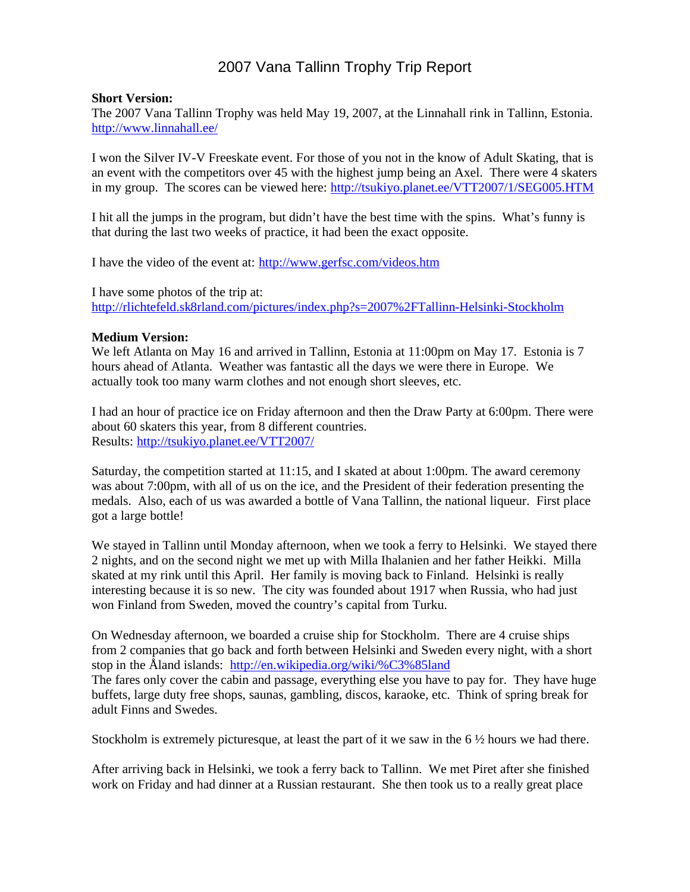# 2007 Vana Tallinn Trophy Trip Report

#### **Short Version:**

The 2007 Vana Tallinn Trophy was held May 19, 2007, at the Linnahall rink in Tallinn, Estonia. http://www.linnahall.ee/

I won the Silver IV-V Freeskate event. For those of you not in the know of Adult Skating, that is an event with the competitors over 45 with the highest jump being an Axel. There were 4 skaters in my group. The scores can be viewed here: http://tsukiyo.planet.ee/VTT2007/1/SEG005.HTM

I hit all the jumps in the program, but didn't have the best time with the spins. What's funny is that during the last two weeks of practice, it had been the exact opposite.

I have the video of the event at: http://www.gerfsc.com/videos.htm

I have some photos of the trip at: http://rlichtefeld.sk8rland.com/pictures/index.php?s=2007%2FTallinn-Helsinki-Stockholm

#### **Medium Version:**

We left Atlanta on May 16 and arrived in Tallinn, Estonia at 11:00pm on May 17. Estonia is 7 hours ahead of Atlanta. Weather was fantastic all the days we were there in Europe. We actually took too many warm clothes and not enough short sleeves, etc.

I had an hour of practice ice on Friday afternoon and then the Draw Party at 6:00pm. There were about 60 skaters this year, from 8 different countries. Results: http://tsukiyo.planet.ee/VTT2007/

Saturday, the competition started at 11:15, and I skated at about 1:00pm. The award ceremony was about 7:00pm, with all of us on the ice, and the President of their federation presenting the medals. Also, each of us was awarded a bottle of Vana Tallinn, the national liqueur. First place got a large bottle!

We stayed in Tallinn until Monday afternoon, when we took a ferry to Helsinki. We stayed there 2 nights, and on the second night we met up with Milla Ihalanien and her father Heikki. Milla skated at my rink until this April. Her family is moving back to Finland. Helsinki is really interesting because it is so new. The city was founded about 1917 when Russia, who had just won Finland from Sweden, moved the country's capital from Turku.

On Wednesday afternoon, we boarded a cruise ship for Stockholm. There are 4 cruise ships from 2 companies that go back and forth between Helsinki and Sweden every night, with a short stop in the Åland islands: http://en.wikipedia.org/wiki/%C3%85land The fares only cover the cabin and passage, everything else you have to pay for. They have huge buffets, large duty free shops, saunas, gambling, discos, karaoke, etc. Think of spring break for adult Finns and Swedes.

Stockholm is extremely picturesque, at least the part of it we saw in the 6 ½ hours we had there.

After arriving back in Helsinki, we took a ferry back to Tallinn. We met Piret after she finished work on Friday and had dinner at a Russian restaurant. She then took us to a really great place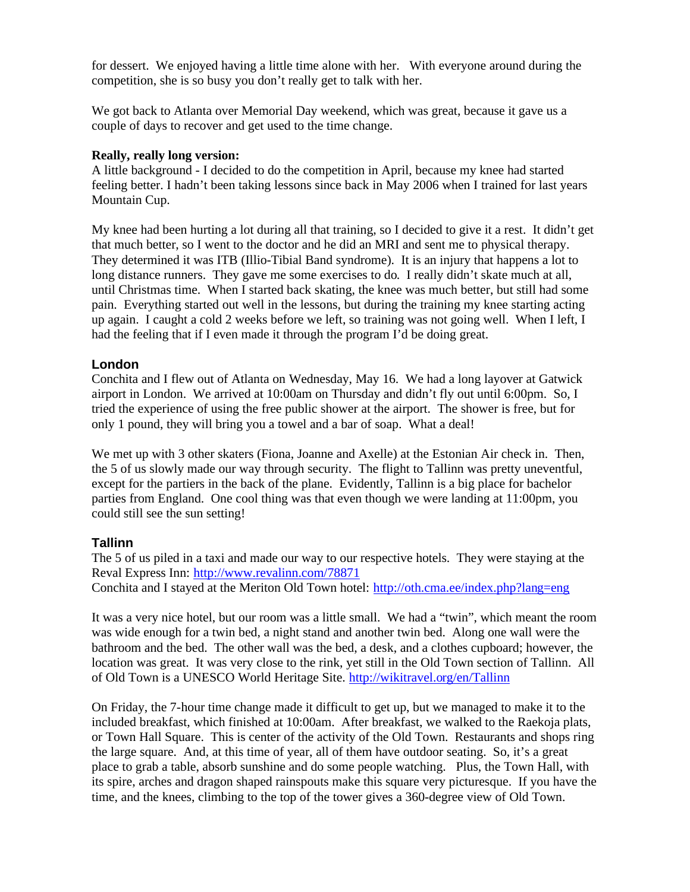for dessert. We enjoyed having a little time alone with her. With everyone around during the competition, she is so busy you don't really get to talk with her.

We got back to Atlanta over Memorial Day weekend, which was great, because it gave us a couple of days to recover and get used to the time change.

#### **Really, really long version:**

A little background - I decided to do the competition in April, because my knee had started feeling better. I hadn't been taking lessons since back in May 2006 when I trained for last years Mountain Cup.

My knee had been hurting a lot during all that training, so I decided to give it a rest. It didn't get that much better, so I went to the doctor and he did an MRI and sent me to physical therapy. They determined it was ITB (Illio-Tibial Band syndrome). It is an injury that happens a lot to long distance runners. They gave me some exercises to do. I really didn't skate much at all, until Christmas time. When I started back skating, the knee was much better, but still had some pain. Everything started out well in the lessons, but during the training my knee starting acting up again. I caught a cold 2 weeks before we left, so training was not going well. When I left, I had the feeling that if I even made it through the program I'd be doing great.

#### **London**

Conchita and I flew out of Atlanta on Wednesday, May 16. We had a long layover at Gatwick airport in London. We arrived at 10:00am on Thursday and didn't fly out until 6:00pm. So, I tried the experience of using the free public shower at the airport. The shower is free, but for only 1 pound, they will bring you a towel and a bar of soap. What a deal!

We met up with 3 other skaters (Fiona, Joanne and Axelle) at the Estonian Air check in. Then, the 5 of us slowly made our way through security. The flight to Tallinn was pretty uneventful, except for the partiers in the back of the plane. Evidently, Tallinn is a big place for bachelor parties from England. One cool thing was that even though we were landing at 11:00pm, you could still see the sun setting!

## **Tallinn**

The 5 of us piled in a taxi and made our way to our respective hotels. They were staying at the Reval Express Inn: http://www.revalinn.com/78871 Conchita and I stayed at the Meriton Old Town hotel: http://oth.cma.ee/index.php?lang=eng

It was a very nice hotel, but our room was a little small. We had a "twin", which meant the room was wide enough for a twin bed, a night stand and another twin bed. Along one wall were the bathroom and the bed. The other wall was the bed, a desk, and a clothes cupboard; however, the location was great. It was very close to the rink, yet still in the Old Town section of Tallinn. All of Old Town is a UNESCO World Heritage Site. http://wikitravel.org/en/Tallinn

On Friday, the 7-hour time change made it difficult to get up, but we managed to make it to the included breakfast, which finished at 10:00am. After breakfast, we walked to the Raekoja plats, or Town Hall Square. This is center of the activity of the Old Town. Restaurants and shops ring the large square. And, at this time of year, all of them have outdoor seating. So, it's a great place to grab a table, absorb sunshine and do some people watching. Plus, the Town Hall, with its spire, arches and dragon shaped rainspouts make this square very picturesque. If you have the time, and the knees, climbing to the top of the tower gives a 360-degree view of Old Town.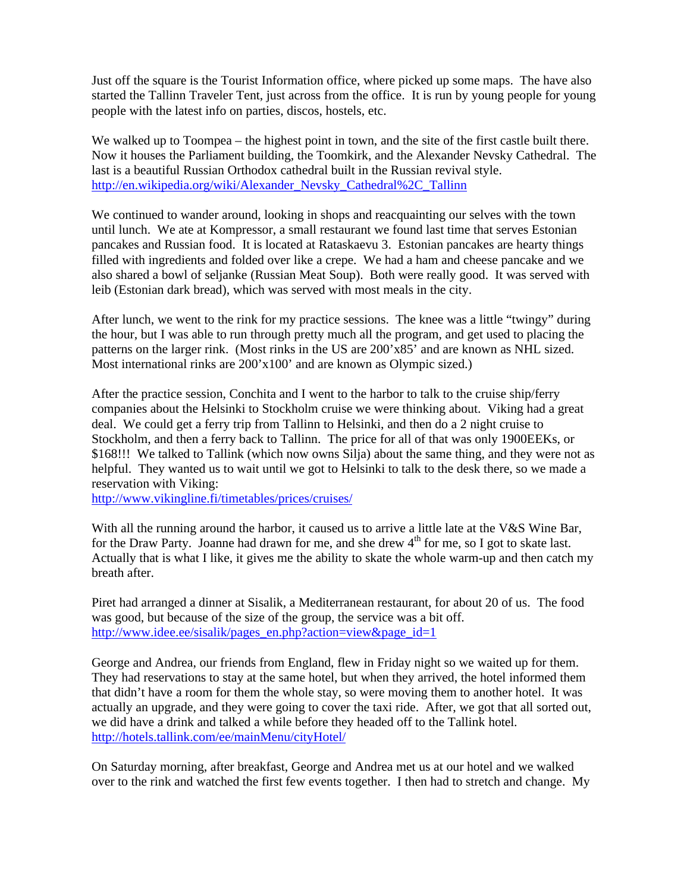Just off the square is the Tourist Information office, where picked up some maps. The have also started the Tallinn Traveler Tent, just across from the office. It is run by young people for young people with the latest info on parties, discos, hostels, etc.

We walked up to Toompea – the highest point in town, and the site of the first castle built there. Now it houses the Parliament building, the Toomkirk, and the Alexander Nevsky Cathedral. The last is a beautiful Russian Orthodox cathedral built in the Russian revival style. http://en.wikipedia.org/wiki/Alexander\_Nevsky\_Cathedral%2C\_Tallinn

We continued to wander around, looking in shops and reacquainting our selves with the town until lunch. We ate at Kompressor, a small restaurant we found last time that serves Estonian pancakes and Russian food. It is located at Rataskaevu 3. Estonian pancakes are hearty things filled with ingredients and folded over like a crepe. We had a ham and cheese pancake and we also shared a bowl of seljanke (Russian Meat Soup). Both were really good. It was served with leib (Estonian dark bread), which was served with most meals in the city.

After lunch, we went to the rink for my practice sessions. The knee was a little "twingy" during the hour, but I was able to run through pretty much all the program, and get used to placing the patterns on the larger rink. (Most rinks in the US are 200'x85' and are known as NHL sized. Most international rinks are 200'x100' and are known as Olympic sized.)

After the practice session, Conchita and I went to the harbor to talk to the cruise ship/ferry companies about the Helsinki to Stockholm cruise we were thinking about. Viking had a great deal. We could get a ferry trip from Tallinn to Helsinki, and then do a 2 night cruise to Stockholm, and then a ferry back to Tallinn. The price for all of that was only 1900EEKs, or \$168!!! We talked to Tallink (which now owns Silja) about the same thing, and they were not as helpful. They wanted us to wait until we got to Helsinki to talk to the desk there, so we made a reservation with Viking:

http://www.vikingline.fi/timetables/prices/cruises/

With all the running around the harbor, it caused us to arrive a little late at the V&S Wine Bar, for the Draw Party. Joanne had drawn for me, and she drew  $4<sup>th</sup>$  for me, so I got to skate last. Actually that is what I like, it gives me the ability to skate the whole warm-up and then catch my breath after.

Piret had arranged a dinner at Sisalik, a Mediterranean restaurant, for about 20 of us. The food was good, but because of the size of the group, the service was a bit off. http://www.idee.ee/sisalik/pages\_en.php?action=view&page\_id=1

George and Andrea, our friends from England, flew in Friday night so we waited up for them. They had reservations to stay at the same hotel, but when they arrived, the hotel informed them that didn't have a room for them the whole stay, so were moving them to another hotel. It was actually an upgrade, and they were going to cover the taxi ride. After, we got that all sorted out, we did have a drink and talked a while before they headed off to the Tallink hotel. http://hotels.tallink.com/ee/mainMenu/cityHotel/

On Saturday morning, after breakfast, George and Andrea met us at our hotel and we walked over to the rink and watched the first few events together. I then had to stretch and change. My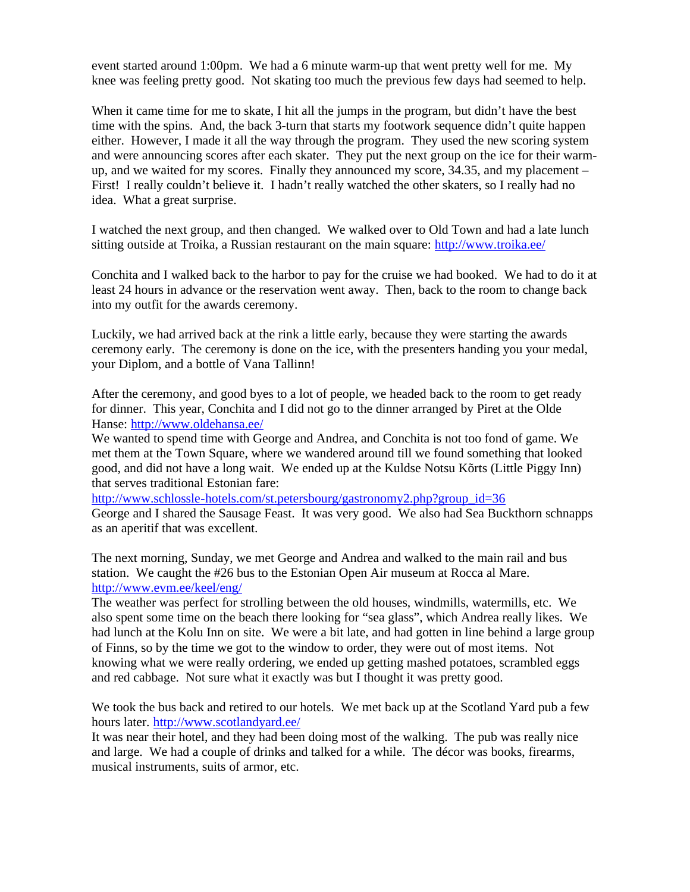event started around 1:00pm. We had a 6 minute warm-up that went pretty well for me. My knee was feeling pretty good. Not skating too much the previous few days had seemed to help.

When it came time for me to skate, I hit all the jumps in the program, but didn't have the best time with the spins. And, the back 3-turn that starts my footwork sequence didn't quite happen either. However, I made it all the way through the program. They used the new scoring system and were announcing scores after each skater. They put the next group on the ice for their warmup, and we waited for my scores. Finally they announced my score, 34.35, and my placement – First! I really couldn't believe it. I hadn't really watched the other skaters, so I really had no idea. What a great surprise.

I watched the next group, and then changed. We walked over to Old Town and had a late lunch sitting outside at Troika, a Russian restaurant on the main square: http://www.troika.ee/

Conchita and I walked back to the harbor to pay for the cruise we had booked. We had to do it at least 24 hours in advance or the reservation went away. Then, back to the room to change back into my outfit for the awards ceremony.

Luckily, we had arrived back at the rink a little early, because they were starting the awards ceremony early. The ceremony is done on the ice, with the presenters handing you your medal, your Diplom, and a bottle of Vana Tallinn!

After the ceremony, and good byes to a lot of people, we headed back to the room to get ready for dinner. This year, Conchita and I did not go to the dinner arranged by Piret at the Olde Hanse: http://www.oldehansa.ee/

We wanted to spend time with George and Andrea, and Conchita is not too fond of game. We met them at the Town Square, where we wandered around till we found something that looked good, and did not have a long wait. We ended up at the Kuldse Notsu Kõrts (Little Piggy Inn) that serves traditional Estonian fare:

http://www.schlossle-hotels.com/st.petersbourg/gastronomy2.php?group\_id=36 George and I shared the Sausage Feast. It was very good. We also had Sea Buckthorn schnapps as an aperitif that was excellent.

The next morning, Sunday, we met George and Andrea and walked to the main rail and bus station. We caught the #26 bus to the Estonian Open Air museum at Rocca al Mare. http://www.evm.ee/keel/eng/

The weather was perfect for strolling between the old houses, windmills, watermills, etc. We also spent some time on the beach there looking for "sea glass", which Andrea really likes. We had lunch at the Kolu Inn on site. We were a bit late, and had gotten in line behind a large group of Finns, so by the time we got to the window to order, they were out of most items. Not knowing what we were really ordering, we ended up getting mashed potatoes, scrambled eggs and red cabbage. Not sure what it exactly was but I thought it was pretty good.

We took the bus back and retired to our hotels. We met back up at the Scotland Yard pub a few hours later. http://www.scotlandyard.ee/

It was near their hotel, and they had been doing most of the walking. The pub was really nice and large. We had a couple of drinks and talked for a while. The décor was books, firearms, musical instruments, suits of armor, etc.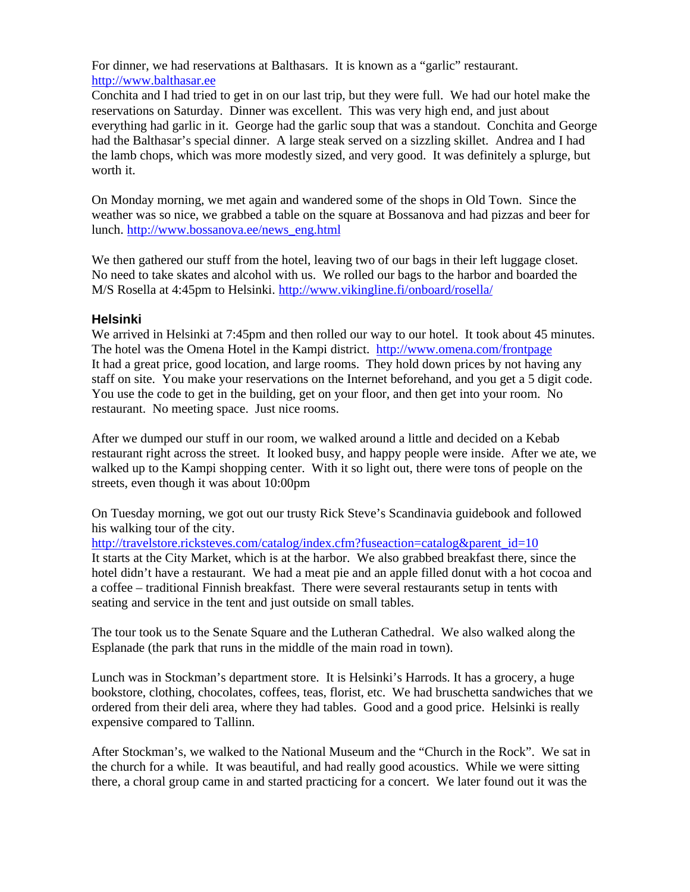For dinner, we had reservations at Balthasars. It is known as a "garlic" restaurant. http://www.balthasar.ee

Conchita and I had tried to get in on our last trip, but they were full. We had our hotel make the reservations on Saturday. Dinner was excellent. This was very high end, and just about everything had garlic in it. George had the garlic soup that was a standout. Conchita and George had the Balthasar's special dinner. A large steak served on a sizzling skillet. Andrea and I had the lamb chops, which was more modestly sized, and very good. It was definitely a splurge, but worth it.

On Monday morning, we met again and wandered some of the shops in Old Town. Since the weather was so nice, we grabbed a table on the square at Bossanova and had pizzas and beer for lunch. http://www.bossanova.ee/news\_eng.html

We then gathered our stuff from the hotel, leaving two of our bags in their left luggage closet. No need to take skates and alcohol with us. We rolled our bags to the harbor and boarded the M/S Rosella at 4:45pm to Helsinki. http://www.vikingline.fi/onboard/rosella/

## **Helsinki**

We arrived in Helsinki at 7:45pm and then rolled our way to our hotel. It took about 45 minutes. The hotel was the Omena Hotel in the Kampi district. http://www.omena.com/frontpage It had a great price, good location, and large rooms. They hold down prices by not having any staff on site. You make your reservations on the Internet beforehand, and you get a 5 digit code. You use the code to get in the building, get on your floor, and then get into your room. No restaurant. No meeting space. Just nice rooms.

After we dumped our stuff in our room, we walked around a little and decided on a Kebab restaurant right across the street. It looked busy, and happy people were inside. After we ate, we walked up to the Kampi shopping center. With it so light out, there were tons of people on the streets, even though it was about 10:00pm

On Tuesday morning, we got out our trusty Rick Steve's Scandinavia guidebook and followed his walking tour of the city.

http://travelstore.ricksteves.com/catalog/index.cfm?fuseaction=catalog&parent\_id=10 It starts at the City Market, which is at the harbor. We also grabbed breakfast there, since the hotel didn't have a restaurant. We had a meat pie and an apple filled donut with a hot cocoa and a coffee – traditional Finnish breakfast. There were several restaurants setup in tents with seating and service in the tent and just outside on small tables.

The tour took us to the Senate Square and the Lutheran Cathedral. We also walked along the Esplanade (the park that runs in the middle of the main road in town).

Lunch was in Stockman's department store. It is Helsinki's Harrods. It has a grocery, a huge bookstore, clothing, chocolates, coffees, teas, florist, etc. We had bruschetta sandwiches that we ordered from their deli area, where they had tables. Good and a good price. Helsinki is really expensive compared to Tallinn.

After Stockman's, we walked to the National Museum and the "Church in the Rock". We sat in the church for a while. It was beautiful, and had really good acoustics. While we were sitting there, a choral group came in and started practicing for a concert. We later found out it was the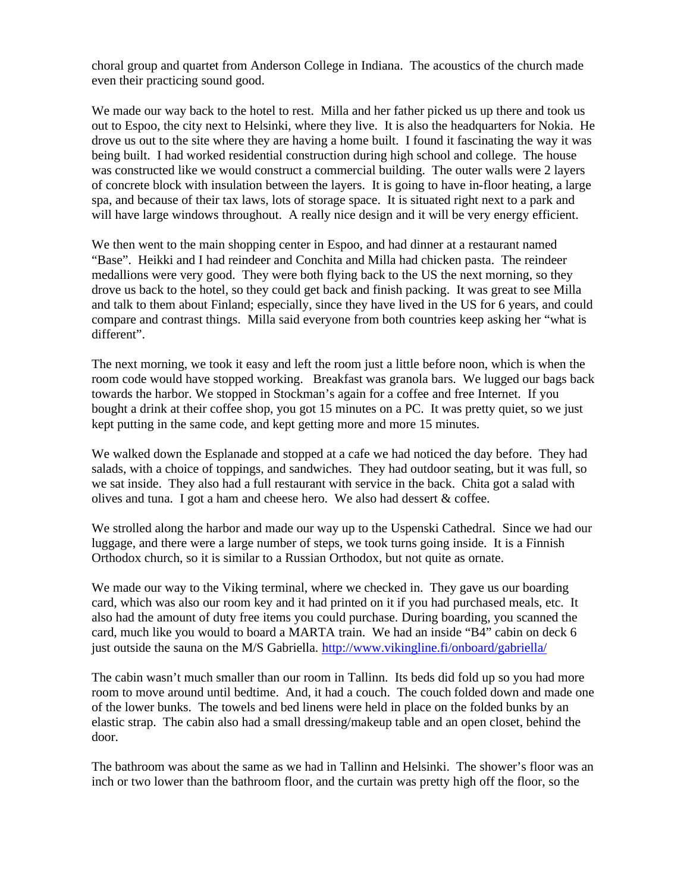choral group and quartet from Anderson College in Indiana. The acoustics of the church made even their practicing sound good.

We made our way back to the hotel to rest. Milla and her father picked us up there and took us out to Espoo, the city next to Helsinki, where they live. It is also the headquarters for Nokia. He drove us out to the site where they are having a home built. I found it fascinating the way it was being built. I had worked residential construction during high school and college. The house was constructed like we would construct a commercial building. The outer walls were 2 layers of concrete block with insulation between the layers. It is going to have in-floor heating, a large spa, and because of their tax laws, lots of storage space. It is situated right next to a park and will have large windows throughout. A really nice design and it will be very energy efficient.

We then went to the main shopping center in Espoo, and had dinner at a restaurant named "Base". Heikki and I had reindeer and Conchita and Milla had chicken pasta. The reindeer medallions were very good. They were both flying back to the US the next morning, so they drove us back to the hotel, so they could get back and finish packing. It was great to see Milla and talk to them about Finland; especially, since they have lived in the US for 6 years, and could compare and contrast things. Milla said everyone from both countries keep asking her "what is different".

The next morning, we took it easy and left the room just a little before noon, which is when the room code would have stopped working. Breakfast was granola bars. We lugged our bags back towards the harbor. We stopped in Stockman's again for a coffee and free Internet. If you bought a drink at their coffee shop, you got 15 minutes on a PC. It was pretty quiet, so we just kept putting in the same code, and kept getting more and more 15 minutes.

We walked down the Esplanade and stopped at a cafe we had noticed the day before. They had salads, with a choice of toppings, and sandwiches. They had outdoor seating, but it was full, so we sat inside. They also had a full restaurant with service in the back. Chita got a salad with olives and tuna. I got a ham and cheese hero. We also had dessert & coffee.

We strolled along the harbor and made our way up to the Uspenski Cathedral. Since we had our luggage, and there were a large number of steps, we took turns going inside. It is a Finnish Orthodox church, so it is similar to a Russian Orthodox, but not quite as ornate.

We made our way to the Viking terminal, where we checked in. They gave us our boarding card, which was also our room key and it had printed on it if you had purchased meals, etc. It also had the amount of duty free items you could purchase. During boarding, you scanned the card, much like you would to board a MARTA train. We had an inside "B4" cabin on deck 6 just outside the sauna on the M/S Gabriella. http://www.vikingline.fi/onboard/gabriella/

The cabin wasn't much smaller than our room in Tallinn. Its beds did fold up so you had more room to move around until bedtime. And, it had a couch. The couch folded down and made one of the lower bunks. The towels and bed linens were held in place on the folded bunks by an elastic strap. The cabin also had a small dressing/makeup table and an open closet, behind the door.

The bathroom was about the same as we had in Tallinn and Helsinki. The shower's floor was an inch or two lower than the bathroom floor, and the curtain was pretty high off the floor, so the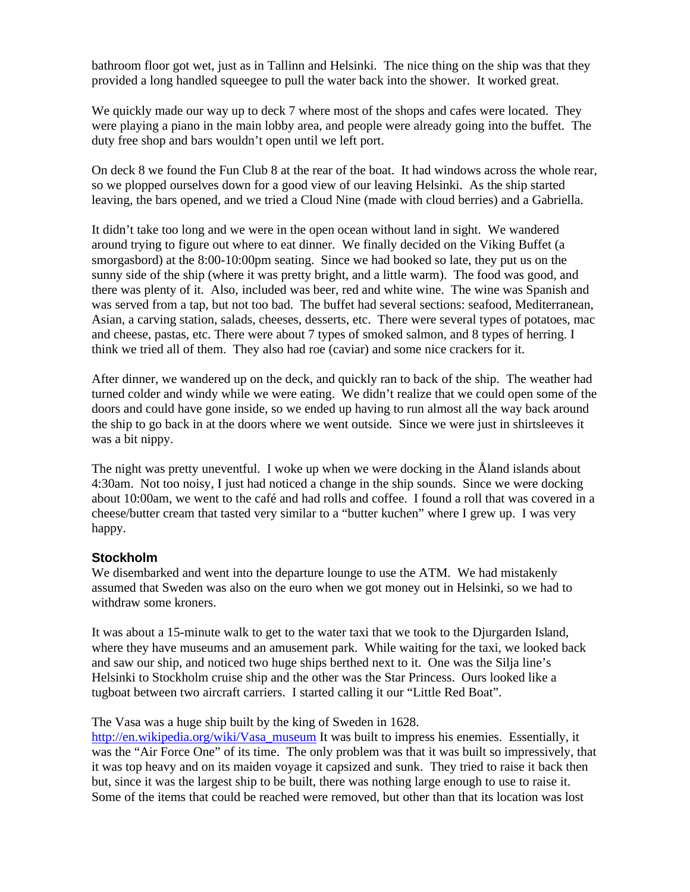bathroom floor got wet, just as in Tallinn and Helsinki. The nice thing on the ship was that they provided a long handled squeegee to pull the water back into the shower. It worked great.

We quickly made our way up to deck 7 where most of the shops and cafes were located. They were playing a piano in the main lobby area, and people were already going into the buffet. The duty free shop and bars wouldn't open until we left port.

On deck 8 we found the Fun Club 8 at the rear of the boat. It had windows across the whole rear, so we plopped ourselves down for a good view of our leaving Helsinki. As the ship started leaving, the bars opened, and we tried a Cloud Nine (made with cloud berries) and a Gabriella.

It didn't take too long and we were in the open ocean without land in sight. We wandered around trying to figure out where to eat dinner. We finally decided on the Viking Buffet (a smorgasbord) at the 8:00-10:00pm seating. Since we had booked so late, they put us on the sunny side of the ship (where it was pretty bright, and a little warm). The food was good, and there was plenty of it. Also, included was beer, red and white wine. The wine was Spanish and was served from a tap, but not too bad. The buffet had several sections: seafood, Mediterranean, Asian, a carving station, salads, cheeses, desserts, etc. There were several types of potatoes, mac and cheese, pastas, etc. There were about 7 types of smoked salmon, and 8 types of herring. I think we tried all of them. They also had roe (caviar) and some nice crackers for it.

After dinner, we wandered up on the deck, and quickly ran to back of the ship. The weather had turned colder and windy while we were eating. We didn't realize that we could open some of the doors and could have gone inside, so we ended up having to run almost all the way back around the ship to go back in at the doors where we went outside. Since we were just in shirtsleeves it was a bit nippy.

The night was pretty uneventful. I woke up when we were docking in the Åland islands about 4:30am. Not too noisy, I just had noticed a change in the ship sounds. Since we were docking about 10:00am, we went to the café and had rolls and coffee. I found a roll that was covered in a cheese/butter cream that tasted very similar to a "butter kuchen" where I grew up. I was very happy.

## **Stockholm**

We disembarked and went into the departure lounge to use the ATM. We had mistakenly assumed that Sweden was also on the euro when we got money out in Helsinki, so we had to withdraw some kroners.

It was about a 15-minute walk to get to the water taxi that we took to the Djurgarden Island, where they have museums and an amusement park. While waiting for the taxi, we looked back and saw our ship, and noticed two huge ships berthed next to it. One was the Silja line's Helsinki to Stockholm cruise ship and the other was the Star Princess. Ours looked like a tugboat between two aircraft carriers. I started calling it our "Little Red Boat".

#### The Vasa was a huge ship built by the king of Sweden in 1628.

http://en.wikipedia.org/wiki/Vasa\_museum It was built to impress his enemies. Essentially, it was the "Air Force One" of its time. The only problem was that it was built so impressively, that it was top heavy and on its maiden voyage it capsized and sunk. They tried to raise it back then but, since it was the largest ship to be built, there was nothing large enough to use to raise it. Some of the items that could be reached were removed, but other than that its location was lost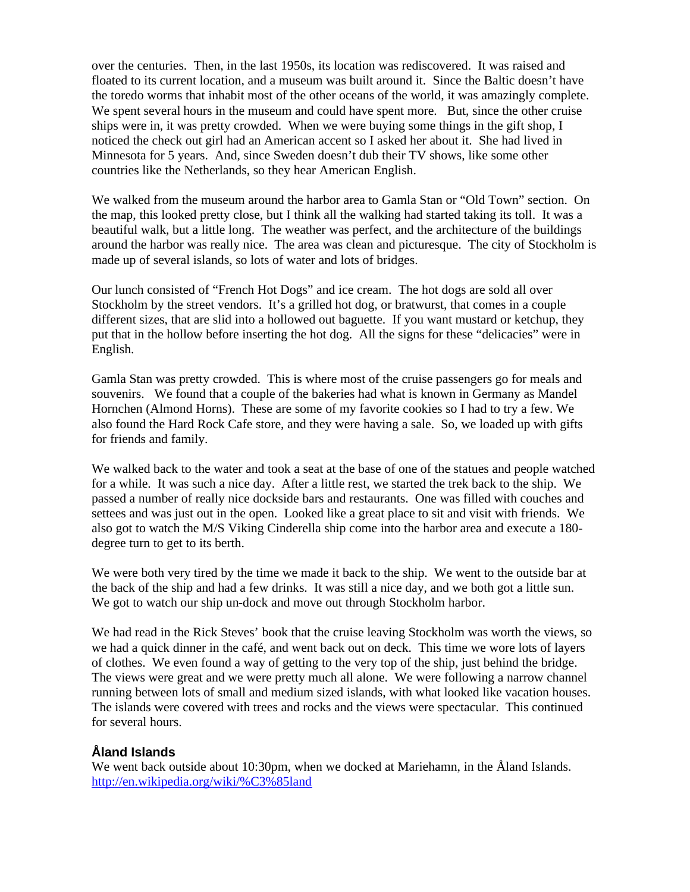over the centuries. Then, in the last 1950s, its location was rediscovered. It was raised and floated to its current location, and a museum was built around it. Since the Baltic doesn't have the toredo worms that inhabit most of the other oceans of the world, it was amazingly complete. We spent several hours in the museum and could have spent more. But, since the other cruise ships were in, it was pretty crowded. When we were buying some things in the gift shop, I noticed the check out girl had an American accent so I asked her about it. She had lived in Minnesota for 5 years. And, since Sweden doesn't dub their TV shows, like some other countries like the Netherlands, so they hear American English.

We walked from the museum around the harbor area to Gamla Stan or "Old Town" section. On the map, this looked pretty close, but I think all the walking had started taking its toll. It was a beautiful walk, but a little long. The weather was perfect, and the architecture of the buildings around the harbor was really nice. The area was clean and picturesque. The city of Stockholm is made up of several islands, so lots of water and lots of bridges.

Our lunch consisted of "French Hot Dogs" and ice cream. The hot dogs are sold all over Stockholm by the street vendors. It's a grilled hot dog, or bratwurst, that comes in a couple different sizes, that are slid into a hollowed out baguette. If you want mustard or ketchup, they put that in the hollow before inserting the hot dog. All the signs for these "delicacies" were in English.

Gamla Stan was pretty crowded. This is where most of the cruise passengers go for meals and souvenirs. We found that a couple of the bakeries had what is known in Germany as Mandel Hornchen (Almond Horns). These are some of my favorite cookies so I had to try a few. We also found the Hard Rock Cafe store, and they were having a sale. So, we loaded up with gifts for friends and family.

We walked back to the water and took a seat at the base of one of the statues and people watched for a while. It was such a nice day. After a little rest, we started the trek back to the ship. We passed a number of really nice dockside bars and restaurants. One was filled with couches and settees and was just out in the open. Looked like a great place to sit and visit with friends. We also got to watch the M/S Viking Cinderella ship come into the harbor area and execute a 180 degree turn to get to its berth.

We were both very tired by the time we made it back to the ship. We went to the outside bar at the back of the ship and had a few drinks. It was still a nice day, and we both got a little sun. We got to watch our ship un-dock and move out through Stockholm harbor.

We had read in the Rick Steves' book that the cruise leaving Stockholm was worth the views, so we had a quick dinner in the café, and went back out on deck. This time we wore lots of layers of clothes. We even found a way of getting to the very top of the ship, just behind the bridge. The views were great and we were pretty much all alone. We were following a narrow channel running between lots of small and medium sized islands, with what looked like vacation houses. The islands were covered with trees and rocks and the views were spectacular. This continued for several hours.

# **Åland Islands**

We went back outside about 10:30pm, when we docked at Mariehamn, in the Åland Islands. http://en.wikipedia.org/wiki/%C3%85land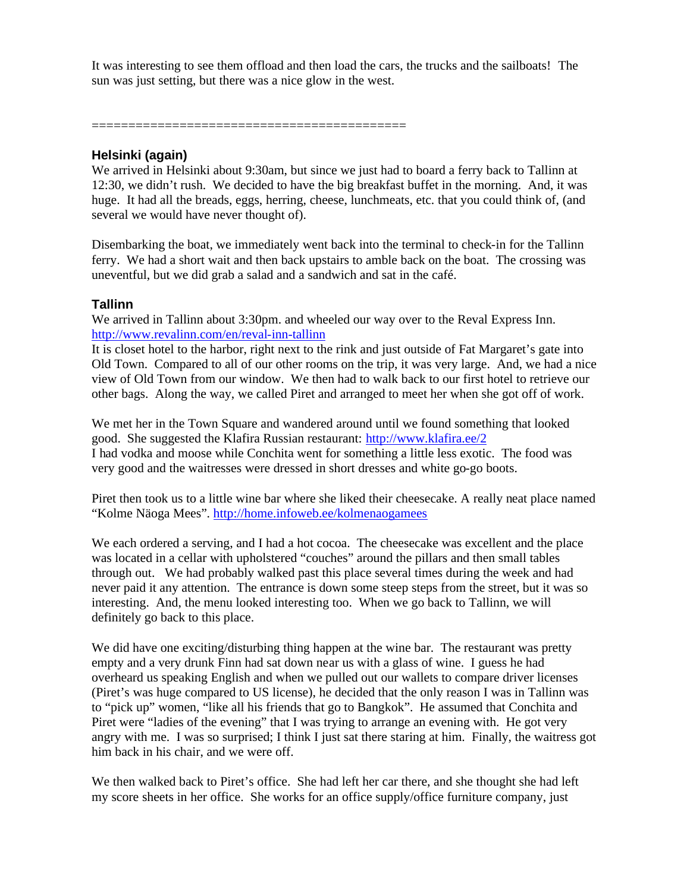It was interesting to see them offload and then load the cars, the trucks and the sailboats! The sun was just setting, but there was a nice glow in the west.

===========================================

## **Helsinki (again)**

We arrived in Helsinki about 9:30am, but since we just had to board a ferry back to Tallinn at 12:30, we didn't rush. We decided to have the big breakfast buffet in the morning. And, it was huge. It had all the breads, eggs, herring, cheese, lunchmeats, etc. that you could think of, (and several we would have never thought of).

Disembarking the boat, we immediately went back into the terminal to check-in for the Tallinn ferry. We had a short wait and then back upstairs to amble back on the boat. The crossing was uneventful, but we did grab a salad and a sandwich and sat in the café.

## **Tallinn**

We arrived in Tallinn about 3:30pm. and wheeled our way over to the Reval Express Inn. http://www.revalinn.com/en/reval-inn-tallinn

It is closet hotel to the harbor, right next to the rink and just outside of Fat Margaret's gate into Old Town. Compared to all of our other rooms on the trip, it was very large. And, we had a nice view of Old Town from our window. We then had to walk back to our first hotel to retrieve our other bags. Along the way, we called Piret and arranged to meet her when she got off of work.

We met her in the Town Square and wandered around until we found something that looked good. She suggested the Klafira Russian restaurant: http://www.klafira.ee/2 I had vodka and moose while Conchita went for something a little less exotic. The food was very good and the waitresses were dressed in short dresses and white go-go boots.

Piret then took us to a little wine bar where she liked their cheesecake. A really neat place named "Kolme Näoga Mees". http://home.infoweb.ee/kolmenaogamees

We each ordered a serving, and I had a hot cocoa. The cheesecake was excellent and the place was located in a cellar with upholstered "couches" around the pillars and then small tables through out. We had probably walked past this place several times during the week and had never paid it any attention. The entrance is down some steep steps from the street, but it was so interesting. And, the menu looked interesting too. When we go back to Tallinn, we will definitely go back to this place.

We did have one exciting/disturbing thing happen at the wine bar. The restaurant was pretty empty and a very drunk Finn had sat down near us with a glass of wine. I guess he had overheard us speaking English and when we pulled out our wallets to compare driver licenses (Piret's was huge compared to US license), he decided that the only reason I was in Tallinn was to "pick up" women, "like all his friends that go to Bangkok". He assumed that Conchita and Piret were "ladies of the evening" that I was trying to arrange an evening with. He got very angry with me. I was so surprised; I think I just sat there staring at him. Finally, the waitress got him back in his chair, and we were off.

We then walked back to Piret's office. She had left her car there, and she thought she had left my score sheets in her office. She works for an office supply/office furniture company, just